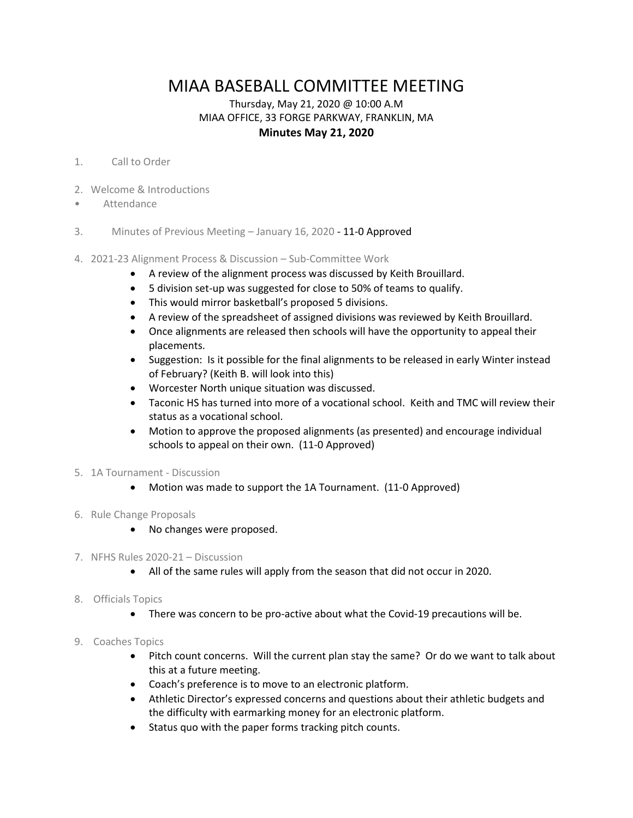## MIAA BASEBALL COMMITTEE MEETING

## Thursday, May 21, 2020 @ 10:00 A.M MIAA OFFICE, 33 FORGE PARKWAY, FRANKLIN, MA **Minutes May 21, 2020**

## 1. Call to Order

- 2. Welcome & Introductions
- **Attendance**
- 3. Minutes of Previous Meeting January 16, 2020 11-0 Approved
- 4. 2021-23 Alignment Process & Discussion Sub-Committee Work
	- A review of the alignment process was discussed by Keith Brouillard.
	- 5 division set-up was suggested for close to 50% of teams to qualify.
	- This would mirror basketball's proposed 5 divisions.
	- A review of the spreadsheet of assigned divisions was reviewed by Keith Brouillard.
	- Once alignments are released then schools will have the opportunity to appeal their placements.
	- Suggestion: Is it possible for the final alignments to be released in early Winter instead of February? (Keith B. will look into this)
	- Worcester North unique situation was discussed.
	- Taconic HS has turned into more of a vocational school. Keith and TMC will review their status as a vocational school.
	- Motion to approve the proposed alignments (as presented) and encourage individual schools to appeal on their own. (11-0 Approved)
- 5. 1A Tournament Discussion
	- Motion was made to support the 1A Tournament. (11-0 Approved)
- 6. Rule Change Proposals
	- No changes were proposed.
- 7. NFHS Rules 2020-21 Discussion
	- All of the same rules will apply from the season that did not occur in 2020.
- 8. Officials Topics
	- There was concern to be pro-active about what the Covid-19 precautions will be.
- 9. Coaches Topics
	- Pitch count concerns. Will the current plan stay the same? Or do we want to talk about this at a future meeting.
	- Coach's preference is to move to an electronic platform.
	- Athletic Director's expressed concerns and questions about their athletic budgets and the difficulty with earmarking money for an electronic platform.
	- Status quo with the paper forms tracking pitch counts.